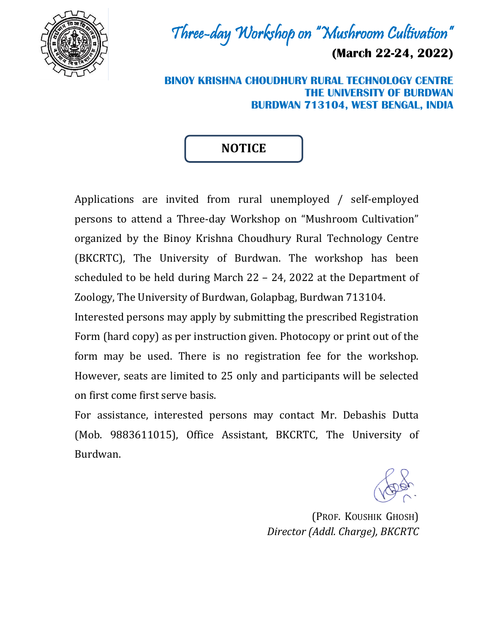

Three-day Workshop on "Mushroom Cultivation"

**(March 22-24, 2022)**

**BINOY KRISHNA CHOUDHURY RURAL TECHNOLOGY CENTRE THE UNIVERSITY OF BURDWAN BURDWAN 713104, WEST BENGAL, INDIA**

## **NOTICE**

Applications are invited from rural unemployed / self-employed persons to attend a Three-day Workshop on "Mushroom Cultivation" organized by the Binoy Krishna Choudhury Rural Technology Centre (BKCRTC), The University of Burdwan. The workshop has been scheduled to be held during March 22 – 24, 2022 at the Department of Zoology, The University of Burdwan, Golapbag, Burdwan 713104.

Interested persons may apply by submitting the prescribed Registration Form (hard copy) as per instruction given. Photocopy or print out of the form may be used. There is no registration fee for the workshop. However, seats are limited to 25 only and participants will be selected on first come first serve basis.

For assistance, interested persons may contact Mr. Debashis Dutta (Mob. 9883611015), Office Assistant, BKCRTC, The University of Burdwan.

(PROF. KOUSHIK GHOSH) *Director (Addl. Charge), BKCRTC*